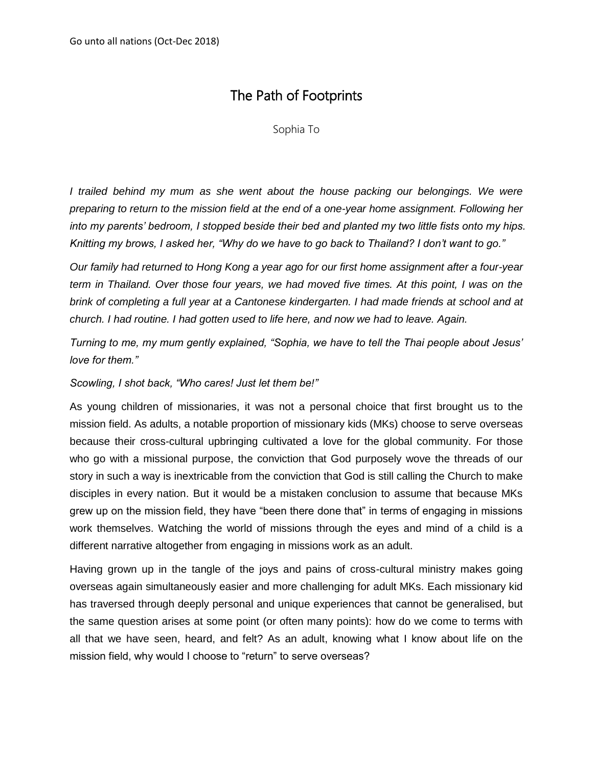# The Path of Footprints

Sophia To

*I trailed behind my mum as she went about the house packing our belongings. We were preparing to return to the mission field at the end of a one-year home assignment. Following her into my parents' bedroom, I stopped beside their bed and planted my two little fists onto my hips. Knitting my brows, I asked her, "Why do we have to go back to Thailand? I don't want to go."* 

*Our family had returned to Hong Kong a year ago for our first home assignment after a four-year term in Thailand. Over those four years, we had moved five times. At this point, I was on the brink of completing a full year at a Cantonese kindergarten. I had made friends at school and at church. I had routine. I had gotten used to life here, and now we had to leave. Again.* 

*Turning to me, my mum gently explained, "Sophia, we have to tell the Thai people about Jesus' love for them."*

*Scowling, I shot back, "Who cares! Just let them be!"*

As young children of missionaries, it was not a personal choice that first brought us to the mission field. As adults, a notable proportion of missionary kids (MKs) choose to serve overseas because their cross-cultural upbringing cultivated a love for the global community. For those who go with a missional purpose, the conviction that God purposely wove the threads of our story in such a way is inextricable from the conviction that God is still calling the Church to make disciples in every nation. But it would be a mistaken conclusion to assume that because MKs grew up on the mission field, they have "been there done that" in terms of engaging in missions work themselves. Watching the world of missions through the eyes and mind of a child is a different narrative altogether from engaging in missions work as an adult.

Having grown up in the tangle of the joys and pains of cross-cultural ministry makes going overseas again simultaneously easier and more challenging for adult MKs. Each missionary kid has traversed through deeply personal and unique experiences that cannot be generalised, but the same question arises at some point (or often many points): how do we come to terms with all that we have seen, heard, and felt? As an adult, knowing what I know about life on the mission field, why would I choose to "return" to serve overseas?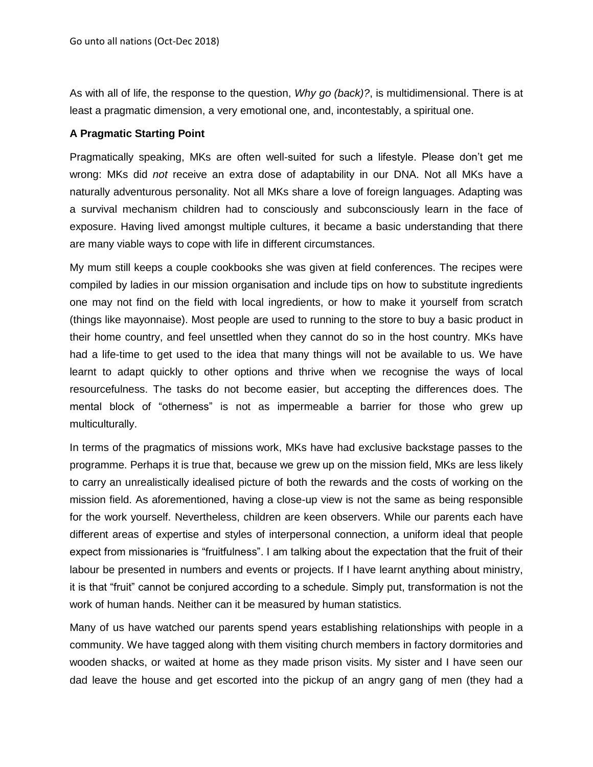As with all of life, the response to the question, *Why go (back)?*, is multidimensional. There is at least a pragmatic dimension, a very emotional one, and, incontestably, a spiritual one.

## **A Pragmatic Starting Point**

Pragmatically speaking, MKs are often well-suited for such a lifestyle. Please don't get me wrong: MKs did *not* receive an extra dose of adaptability in our DNA. Not all MKs have a naturally adventurous personality. Not all MKs share a love of foreign languages. Adapting was a survival mechanism children had to consciously and subconsciously learn in the face of exposure. Having lived amongst multiple cultures, it became a basic understanding that there are many viable ways to cope with life in different circumstances.

My mum still keeps a couple cookbooks she was given at field conferences. The recipes were compiled by ladies in our mission organisation and include tips on how to substitute ingredients one may not find on the field with local ingredients, or how to make it yourself from scratch (things like mayonnaise). Most people are used to running to the store to buy a basic product in their home country, and feel unsettled when they cannot do so in the host country. MKs have had a life-time to get used to the idea that many things will not be available to us. We have learnt to adapt quickly to other options and thrive when we recognise the ways of local resourcefulness. The tasks do not become easier, but accepting the differences does. The mental block of "otherness" is not as impermeable a barrier for those who grew up multiculturally.

In terms of the pragmatics of missions work, MKs have had exclusive backstage passes to the programme. Perhaps it is true that, because we grew up on the mission field, MKs are less likely to carry an unrealistically idealised picture of both the rewards and the costs of working on the mission field. As aforementioned, having a close-up view is not the same as being responsible for the work yourself. Nevertheless, children are keen observers. While our parents each have different areas of expertise and styles of interpersonal connection, a uniform ideal that people expect from missionaries is "fruitfulness". I am talking about the expectation that the fruit of their labour be presented in numbers and events or projects. If I have learnt anything about ministry, it is that "fruit" cannot be conjured according to a schedule. Simply put, transformation is not the work of human hands. Neither can it be measured by human statistics.

Many of us have watched our parents spend years establishing relationships with people in a community. We have tagged along with them visiting church members in factory dormitories and wooden shacks, or waited at home as they made prison visits. My sister and I have seen our dad leave the house and get escorted into the pickup of an angry gang of men (they had a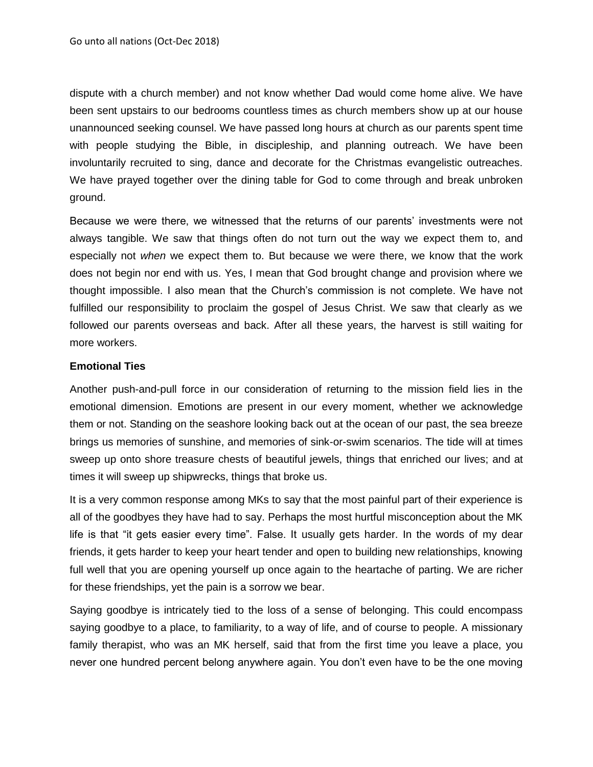dispute with a church member) and not know whether Dad would come home alive. We have been sent upstairs to our bedrooms countless times as church members show up at our house unannounced seeking counsel. We have passed long hours at church as our parents spent time with people studying the Bible, in discipleship, and planning outreach. We have been involuntarily recruited to sing, dance and decorate for the Christmas evangelistic outreaches. We have prayed together over the dining table for God to come through and break unbroken ground.

Because we were there, we witnessed that the returns of our parents' investments were not always tangible. We saw that things often do not turn out the way we expect them to, and especially not *when* we expect them to. But because we were there, we know that the work does not begin nor end with us. Yes, I mean that God brought change and provision where we thought impossible. I also mean that the Church's commission is not complete. We have not fulfilled our responsibility to proclaim the gospel of Jesus Christ. We saw that clearly as we followed our parents overseas and back. After all these years, the harvest is still waiting for more workers.

### **Emotional Ties**

Another push-and-pull force in our consideration of returning to the mission field lies in the emotional dimension. Emotions are present in our every moment, whether we acknowledge them or not. Standing on the seashore looking back out at the ocean of our past, the sea breeze brings us memories of sunshine, and memories of sink-or-swim scenarios. The tide will at times sweep up onto shore treasure chests of beautiful jewels, things that enriched our lives; and at times it will sweep up shipwrecks, things that broke us.

It is a very common response among MKs to say that the most painful part of their experience is all of the goodbyes they have had to say. Perhaps the most hurtful misconception about the MK life is that "it gets easier every time". False. It usually gets harder. In the words of my dear friends, it gets harder to keep your heart tender and open to building new relationships, knowing full well that you are opening yourself up once again to the heartache of parting. We are richer for these friendships, yet the pain is a sorrow we bear.

Saying goodbye is intricately tied to the loss of a sense of belonging. This could encompass saying goodbye to a place, to familiarity, to a way of life, and of course to people. A missionary family therapist, who was an MK herself, said that from the first time you leave a place, you never one hundred percent belong anywhere again. You don't even have to be the one moving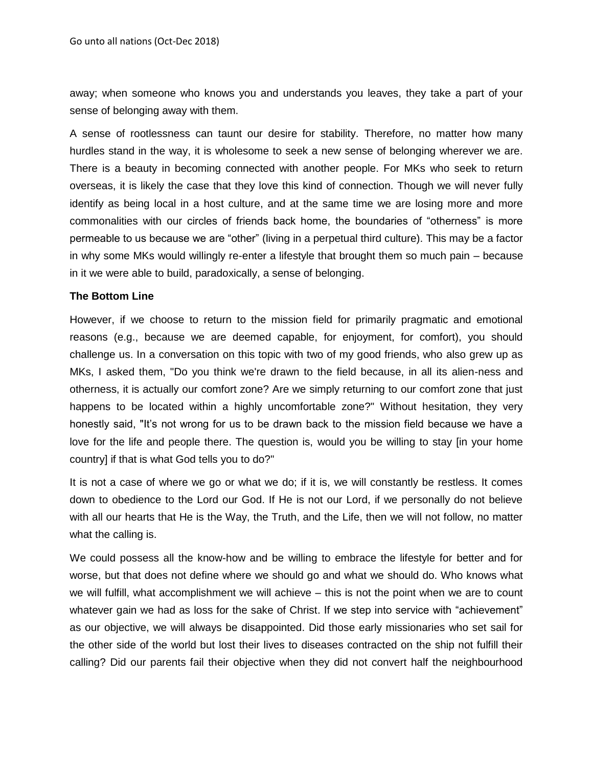away; when someone who knows you and understands you leaves, they take a part of your sense of belonging away with them.

A sense of rootlessness can taunt our desire for stability. Therefore, no matter how many hurdles stand in the way, it is wholesome to seek a new sense of belonging wherever we are. There is a beauty in becoming connected with another people. For MKs who seek to return overseas, it is likely the case that they love this kind of connection. Though we will never fully identify as being local in a host culture, and at the same time we are losing more and more commonalities with our circles of friends back home, the boundaries of "otherness" is more permeable to us because we are "other" (living in a perpetual third culture). This may be a factor in why some MKs would willingly re-enter a lifestyle that brought them so much pain – because in it we were able to build, paradoxically, a sense of belonging.

#### **The Bottom Line**

However, if we choose to return to the mission field for primarily pragmatic and emotional reasons (e.g., because we are deemed capable, for enjoyment, for comfort), you should challenge us. In a conversation on this topic with two of my good friends, who also grew up as MKs, I asked them, "Do you think we're drawn to the field because, in all its alien-ness and otherness, it is actually our comfort zone? Are we simply returning to our comfort zone that just happens to be located within a highly uncomfortable zone?" Without hesitation, they very honestly said, "It's not wrong for us to be drawn back to the mission field because we have a love for the life and people there. The question is, would you be willing to stay [in your home country] if that is what God tells you to do?"

It is not a case of where we go or what we do; if it is, we will constantly be restless. It comes down to obedience to the Lord our God. If He is not our Lord, if we personally do not believe with all our hearts that He is the Way, the Truth, and the Life, then we will not follow, no matter what the calling is.

We could possess all the know-how and be willing to embrace the lifestyle for better and for worse, but that does not define where we should go and what we should do. Who knows what we will fulfill, what accomplishment we will achieve – this is not the point when we are to count whatever gain we had as loss for the sake of Christ. If we step into service with "achievement" as our objective, we will always be disappointed. Did those early missionaries who set sail for the other side of the world but lost their lives to diseases contracted on the ship not fulfill their calling? Did our parents fail their objective when they did not convert half the neighbourhood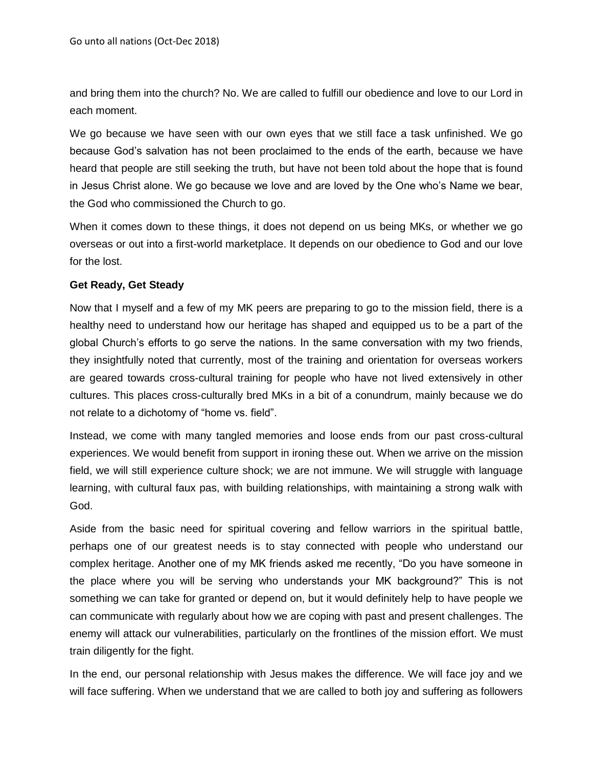and bring them into the church? No. We are called to fulfill our obedience and love to our Lord in each moment.

We go because we have seen with our own eyes that we still face a task unfinished. We go because God's salvation has not been proclaimed to the ends of the earth, because we have heard that people are still seeking the truth, but have not been told about the hope that is found in Jesus Christ alone. We go because we love and are loved by the One who's Name we bear, the God who commissioned the Church to go.

When it comes down to these things, it does not depend on us being MKs, or whether we go overseas or out into a first-world marketplace. It depends on our obedience to God and our love for the lost.

## **Get Ready, Get Steady**

Now that I myself and a few of my MK peers are preparing to go to the mission field, there is a healthy need to understand how our heritage has shaped and equipped us to be a part of the global Church's efforts to go serve the nations. In the same conversation with my two friends, they insightfully noted that currently, most of the training and orientation for overseas workers are geared towards cross-cultural training for people who have not lived extensively in other cultures. This places cross-culturally bred MKs in a bit of a conundrum, mainly because we do not relate to a dichotomy of "home vs. field".

Instead, we come with many tangled memories and loose ends from our past cross-cultural experiences. We would benefit from support in ironing these out. When we arrive on the mission field, we will still experience culture shock; we are not immune. We will struggle with language learning, with cultural faux pas, with building relationships, with maintaining a strong walk with God.

Aside from the basic need for spiritual covering and fellow warriors in the spiritual battle, perhaps one of our greatest needs is to stay connected with people who understand our complex heritage. Another one of my MK friends asked me recently, "Do you have someone in the place where you will be serving who understands your MK background?" This is not something we can take for granted or depend on, but it would definitely help to have people we can communicate with regularly about how we are coping with past and present challenges. The enemy will attack our vulnerabilities, particularly on the frontlines of the mission effort. We must train diligently for the fight.

In the end, our personal relationship with Jesus makes the difference. We will face joy and we will face suffering. When we understand that we are called to both joy and suffering as followers